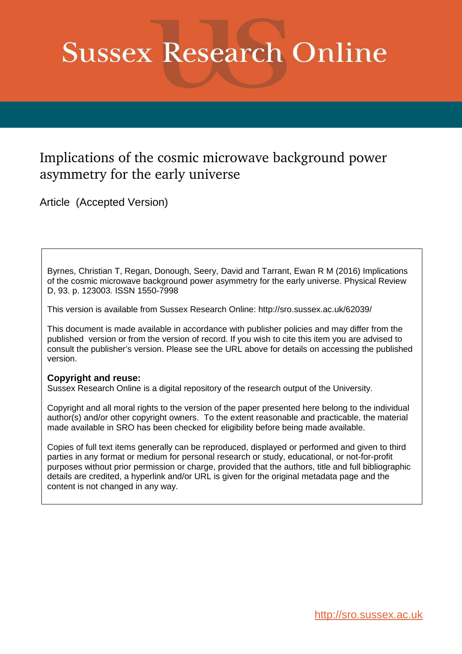# **Sussex Research Online**

## Implications of the cosmic microwave background power asymmetry for the early universe

Article (Accepted Version)

Byrnes, Christian T, Regan, Donough, Seery, David and Tarrant, Ewan R M (2016) Implications of the cosmic microwave background power asymmetry for the early universe. Physical Review D, 93. p. 123003. ISSN 1550-7998

This version is available from Sussex Research Online: http://sro.sussex.ac.uk/62039/

This document is made available in accordance with publisher policies and may differ from the published version or from the version of record. If you wish to cite this item you are advised to consult the publisher's version. Please see the URL above for details on accessing the published version.

### **Copyright and reuse:**

Sussex Research Online is a digital repository of the research output of the University.

Copyright and all moral rights to the version of the paper presented here belong to the individual author(s) and/or other copyright owners. To the extent reasonable and practicable, the material made available in SRO has been checked for eligibility before being made available.

Copies of full text items generally can be reproduced, displayed or performed and given to third parties in any format or medium for personal research or study, educational, or not-for-profit purposes without prior permission or charge, provided that the authors, title and full bibliographic details are credited, a hyperlink and/or URL is given for the original metadata page and the content is not changed in any way.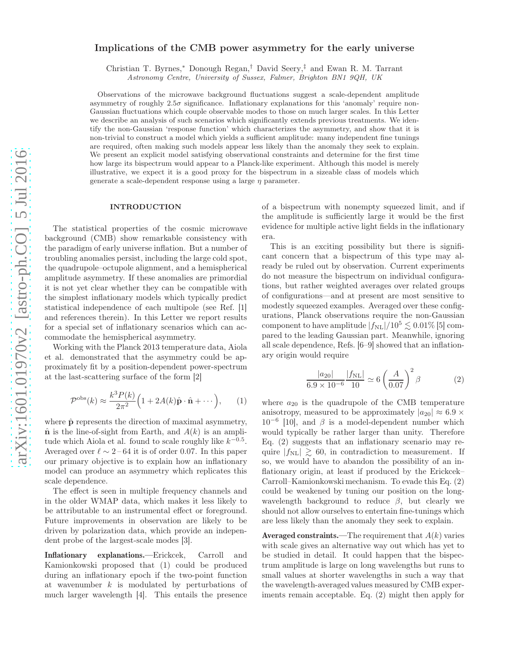#### Implications of the CMB power asymmetry for the early universe

Christian T. Byrnes,<sup>∗</sup> Donough Regan,† David Seery,‡ and Ewan R. M. Tarrant

Astronomy Centre, University of Sussex, Falmer, Brighton BN1 9QH, UK

Observations of the microwave background fluctuations suggest a scale-dependent amplitude asymmetry of roughly  $2.5\sigma$  significance. Inflationary explanations for this 'anomaly' require non-Gaussian fluctuations which couple observable modes to those on much larger scales. In this Letter we describe an analysis of such scenarios which significantly extends previous treatments. We identify the non-Gaussian 'response function' which characterizes the asymmetry, and show that it is non-trivial to construct a model which yields a sufficient amplitude: many independent fine tunings are required, often making such models appear less likely than the anomaly they seek to explain. We present an explicit model satisfying observational constraints and determine for the first time how large its bispectrum would appear to a Planck-like experiment. Although this model is merely illustrative, we expect it is a good proxy for the bispectrum in a sizeable class of models which generate a scale-dependent response using a large  $\eta$  parameter.

#### INTRODUCTION

The statistical properties of the cosmic microwave background (CMB) show remarkable consistency with the paradigm of early universe inflation. But a number of troubling anomalies persist, including the large cold spot, the quadrupole–octupole alignment, and a hemispherical amplitude asymmetry. If these anomalies are primordial it is not yet clear whether they can be compatible with the simplest inflationary models which typically predict statistical independence of each multipole (see Ref. [1] and references therein). In this Letter we report results for a special set of inflationary scenarios which can accommodate the hemispherical asymmetry.

Working with the Planck 2013 temperature data, Aiola et al. demonstrated that the asymmetry could be approximately fit by a position-dependent power-spectrum at the last-scattering surface of the form [2]

$$
\mathcal{P}^{\rm obs}(k) \approx \frac{k^3 P(k)}{2\pi^2} \Big( 1 + 2A(k)\hat{\mathbf{p}} \cdot \hat{\mathbf{n}} + \cdots \Big), \qquad (1)
$$

where  $\hat{\mathbf{p}}$  represents the direction of maximal asymmetry,  $\hat{\mathbf{n}}$  is the line-of-sight from Earth, and  $A(k)$  is an amplitude which Aiola et al. found to scale roughly like  $k^{-0.5}$ . Averaged over  $\ell \sim 2-64$  it is of order 0.07. In this paper our primary objective is to explain how an inflationary model can produce an asymmetry which replicates this scale dependence.

The effect is seen in multiple frequency channels and in the older WMAP data, which makes it less likely to be attributable to an instrumental effect or foreground. Future improvements in observation are likely to be driven by polarization data, which provide an independent probe of the largest-scale modes [3].

Inflationary explanations.—Erickcek, Carroll and Kamionkowski proposed that (1) could be produced during an inflationary epoch if the two-point function at wavenumber  $k$  is modulated by perturbations of much larger wavelength [4]. This entails the presence

of a bispectrum with nonempty squeezed limit, and if the amplitude is sufficiently large it would be the first evidence for multiple active light fields in the inflationary era.

This is an exciting possibility but there is significant concern that a bispectrum of this type may already be ruled out by observation. Current experiments do not measure the bispectrum on individual configurations, but rather weighted averages over related groups of configurations—and at present are most sensitive to modestly squeezed examples. Averaged over these configurations, Planck observations require the non-Gaussian component to have amplitude  $|f_{\text{NL}}|/10^5 \lesssim 0.01\%$  [5] compared to the leading Gaussian part. Meanwhile, ignoring all scale dependence, Refs. [6–9] showed that an inflationary origin would require

$$
\frac{|a_{20}|}{6.9 \times 10^{-6}} \frac{|f_{\rm NL}|}{10} \simeq 6 \left(\frac{A}{0.07}\right)^2 \beta \tag{2}
$$

where  $a_{20}$  is the quadrupole of the CMB temperature anisotropy, measured to be approximately  $|a_{20}| \approx 6.9 \times$  $10^{-6}$  [10], and  $\beta$  is a model-dependent number which would typically be rather larger than unity. Therefore Eq. (2) suggests that an inflationary scenario may require  $|f_{\text{NL}}| \geq 60$ , in contradiction to measurement. If so, we would have to abandon the possibility of an inflationary origin, at least if produced by the Erickcek– Carroll–Kamionkowski mechanism. To evade this Eq. (2) could be weakened by tuning our position on the longwavelength background to reduce  $\beta$ , but clearly we should not allow ourselves to entertain fine-tunings which are less likely than the anomaly they seek to explain.

Averaged constraints.—The requirement that  $A(k)$  varies with scale gives an alternative way out which has yet to be studied in detail. It could happen that the bispectrum amplitude is large on long wavelengths but runs to small values at shorter wavelengths in such a way that the wavelength-averaged values measured by CMB experiments remain acceptable. Eq. (2) might then apply for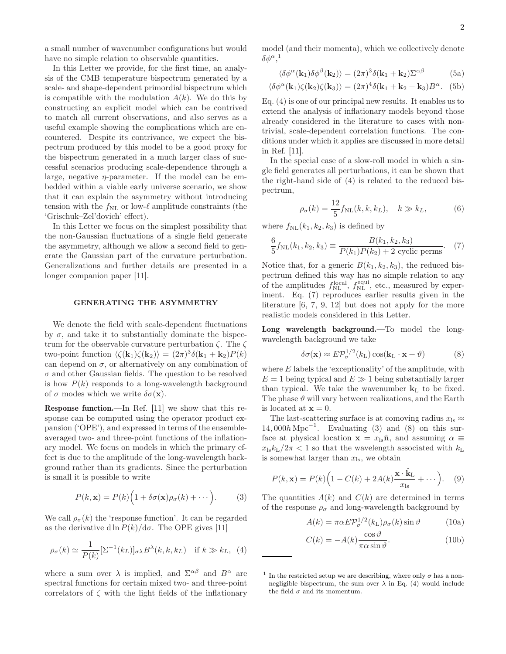a small number of wavenumber configurations but would have no simple relation to observable quantities.

In this Letter we provide, for the first time, an analysis of the CMB temperature bispectrum generated by a scale- and shape-dependent primordial bispectrum which is compatible with the modulation  $A(k)$ . We do this by constructing an explicit model which can be contrived to match all current observations, and also serves as a useful example showing the complications which are encountered. Despite its contrivance, we expect the bispectrum produced by this model to be a good proxy for the bispectrum generated in a much larger class of successful scenarios producing scale-dependence through a large, negative  $\eta$ -parameter. If the model can be embedded within a viable early universe scenario, we show that it can explain the asymmetry without introducing tension with the  $f_{\text{NL}}$  or low- $\ell$  amplitude constraints (the 'Grischuk–Zel'dovich' effect).

In this Letter we focus on the simplest possibility that the non-Gaussian fluctuations of a single field generate the asymmetry, although we allow a second field to generate the Gaussian part of the curvature perturbation. Generalizations and further details are presented in a longer companion paper [11].

#### GENERATING THE ASYMMETRY

We denote the field with scale-dependent fluctuations by  $\sigma$ , and take it to substantially dominate the bispectrum for the observable curvature perturbation  $\zeta$ . The  $\zeta$ two-point function  $\langle \zeta(\mathbf{k}_1)\zeta(\mathbf{k}_2)\rangle = (2\pi)^3 \delta(\mathbf{k}_1 + \mathbf{k}_2) P(k)$ can depend on  $\sigma$ , or alternatively on any combination of  $\sigma$  and other Gaussian fields. The question to be resolved is how  $P(k)$  responds to a long-wavelength background of  $\sigma$  modes which we write  $\delta \sigma(\mathbf{x})$ .

Response function.—In Ref. [11] we show that this response can be computed using the operator product expansion ('OPE'), and expressed in terms of the ensembleaveraged two- and three-point functions of the inflationary model. We focus on models in which the primary effect is due to the amplitude of the long-wavelength background rather than its gradients. Since the perturbation is small it is possible to write

$$
P(k, \mathbf{x}) = P(k) \Big( 1 + \delta \sigma(\mathbf{x}) \rho_{\sigma}(k) + \cdots \Big). \tag{3}
$$

We call  $\rho_{\sigma}(k)$  the 'response function'. It can be regarded as the derivative d ln  $P(k)/d\sigma$ . The OPE gives [11]

$$
\rho_{\sigma}(k) \simeq \frac{1}{P(k)} [\Sigma^{-1}(k_L)]_{\sigma\lambda} B^{\lambda}(k, k, k_L) \quad \text{if } k \gg k_L, \tag{4}
$$

where a sum over  $\lambda$  is implied, and  $\Sigma^{\alpha\beta}$  and  $B^{\alpha}$  are spectral functions for certain mixed two- and three-point correlators of  $\zeta$  with the light fields of the inflationary model (and their momenta), which we collectively denote  $\delta\phi^{\alpha},^1$ 

$$
\langle \delta \phi^{\alpha}(\mathbf{k}_1) \delta \phi^{\beta}(\mathbf{k}_2) \rangle = (2\pi)^3 \delta(\mathbf{k}_1 + \mathbf{k}_2) \Sigma^{\alpha \beta}
$$
 (5a)

$$
\langle \delta \phi^{\alpha}(\mathbf{k}_1) \zeta(\mathbf{k}_2) \zeta(\mathbf{k}_3) \rangle = (2\pi)^4 \delta(\mathbf{k}_1 + \mathbf{k}_2 + \mathbf{k}_3) B^{\alpha}.
$$
 (5b)

Eq. (4) is one of our principal new results. It enables us to extend the analysis of inflationary models beyond those already considered in the literature to cases with nontrivial, scale-dependent correlation functions. The conditions under which it applies are discussed in more detail in Ref. [11].

In the special case of a slow-roll model in which a single field generates all perturbations, it can be shown that the right-hand side of (4) is related to the reduced bispectrum,

$$
\rho_{\sigma}(k) = \frac{12}{5} f_{\rm NL}(k, k, k_L), \quad k \gg k_L,
$$
 (6)

where  $f_{\text{NL}}(k_1, k_2, k_3)$  is defined by

$$
\frac{6}{5}f_{\rm NL}(k_1, k_2, k_3) \equiv \frac{B(k_1, k_2, k_3)}{P(k_1)P(k_2) + 2 \text{ cyclic perms}}.\tag{7}
$$

Notice that, for a generic  $B(k_1, k_2, k_3)$ , the reduced bispectrum defined this way has no simple relation to any of the amplitudes  $f_{\text{NL}}^{\text{local}}, f_{\text{NL}}^{\text{equi}},$  etc., measured by experiment. Eq. (7) reproduces earlier results given in the literature [6, 7, 9, 12] but does not apply for the more realistic models considered in this Letter.

Long wavelength background.—To model the longwavelength background we take

$$
\delta\sigma(\mathbf{x}) \approx E \mathcal{P}_{\sigma}^{1/2}(k_{\mathrm{L}}) \cos(\mathbf{k}_{\mathrm{L}} \cdot \mathbf{x} + \vartheta)
$$
 (8)

where  $E$  labels the 'exceptionality' of the amplitude, with  $E = 1$  being typical and  $E \gg 1$  being substantially larger than typical. We take the wavenumber  $k<sub>L</sub>$  to be fixed. The phase  $\vartheta$  will vary between realizations, and the Earth is located at  $\mathbf{x} = 0$ .

The last-scattering surface is at comoving radius  $x_{\text{ls}} \approx$ 14, 000 $h\text{ Mpc}^{-1}$ . Evaluating (3) and (8) on this surface at physical location  $\mathbf{x} = x_{\text{ls}}\hat{\mathbf{n}}$ , and assuming  $\alpha \equiv$  $x_{\text{ls}}k_{\text{L}}/2\pi < 1$  so that the wavelength associated with  $k_{\text{L}}$ is somewhat larger than  $x_{\text{ls}}$ , we obtain

$$
P(k, \mathbf{x}) = P(k) \Big( 1 - C(k) + 2A(k) \frac{\mathbf{x} \cdot \hat{\mathbf{k}}_L}{x_{ls}} + \cdots \Big). \tag{9}
$$

The quantities  $A(k)$  and  $C(k)$  are determined in terms of the response  $\rho_{\sigma}$  and long-wavelength background by

$$
A(k) = \pi \alpha E \mathcal{P}_{\sigma}^{1/2}(k_{\text{L}}) \rho_{\sigma}(k) \sin \vartheta
$$
 (10a)

$$
C(k) = -A(k)\frac{\cos\vartheta}{\pi\alpha\sin\vartheta}.
$$
 (10b)

<sup>&</sup>lt;sup>1</sup> In the restricted setup we are describing, where only  $\sigma$  has a nonnegligible bispectrum, the sum over  $\lambda$  in Eq. (4) would include the field  $\sigma$  and its momentum.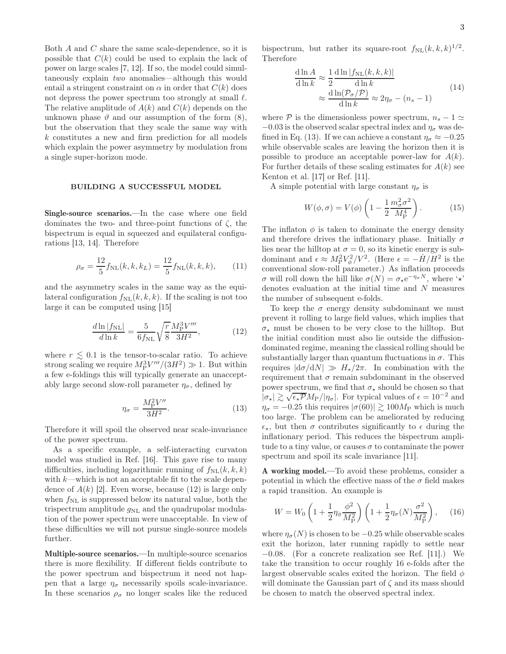Both A and C share the same scale-dependence, so it is possible that  $C(k)$  could be used to explain the lack of power on large scales [7, 12]. If so, the model could simultaneously explain two anomalies—although this would entail a stringent constraint on  $\alpha$  in order that  $C(k)$  does not depress the power spectrum too strongly at small  $\ell$ . The relative amplitude of  $A(k)$  and  $C(k)$  depends on the unknown phase  $\vartheta$  and our assumption of the form (8), but the observation that they scale the same way with k constitutes a new and firm prediction for all models which explain the power asymmetry by modulation from a single super-horizon mode.

#### BUILDING A SUCCESSFUL MODEL

Single-source scenarios.—In the case where one field dominates the two- and three-point functions of  $\zeta$ , the bispectrum is equal in squeezed and equilateral configurations [13, 14]. Therefore

$$
\rho_{\sigma} = \frac{12}{5} f_{\rm NL}(k, k, k_L) = \frac{12}{5} f_{\rm NL}(k, k, k), \qquad (11)
$$

and the asymmetry scales in the same way as the equilateral configuration  $f_{\text{NL}}(k, k, k)$ . If the scaling is not too large it can be computed using [15]

$$
\frac{d\ln|f_{\rm NL}|}{d\ln k} = \frac{5}{6f_{\rm NL}} \sqrt{\frac{r}{8}} \frac{M_{\rm P}^3 V'''}{3H^2},\tag{12}
$$

where  $r \lesssim 0.1$  is the tensor-to-scalar ratio. To achieve strong scaling we require  $M_P^3 V'''/(3H^2) \gg 1$ . But within a few e-foldings this will typically generate an unacceptably large second slow-roll parameter  $\eta_{\sigma}$ , defined by

$$
\eta_{\sigma} = \frac{M_{\rm P}^2 V''}{3H^2}.
$$
\n(13)

Therefore it will spoil the observed near scale-invariance of the power spectrum.

As a specific example, a self-interacting curvaton model was studied in Ref. [16]. This gave rise to many difficulties, including logarithmic running of  $f_{NL}(k, k, k)$ with  $k$ —which is not an acceptable fit to the scale dependence of  $A(k)$  [2]. Even worse, because (12) is large only when  $f_{\text{NL}}$  is suppressed below its natural value, both the trispectrum amplitude  $g_{NL}$  and the quadrupolar modulation of the power spectrum were unacceptable. In view of these difficulties we will not pursue single-source models further.

Multiple-source scenarios.—In multiple-source scenarios there is more flexibility. If different fields contribute to the power spectrum and bispectrum it need not happen that a large  $\eta_{\sigma}$  necessarily spoils scale-invariance. In these scenarios  $\rho_{\sigma}$  no longer scales like the reduced

bispectrum, but rather its square-root  $f_{\text{NL}}(k, k, k)^{1/2}$ . Therefore

$$
\frac{d \ln A}{d \ln k} \approx \frac{1}{2} \frac{d \ln |f_{\rm NL}(k, k, k)|}{d \ln k} \approx \frac{d \ln (\mathcal{P}_\sigma / \mathcal{P})}{d \ln k} \approx 2\eta_\sigma - (n_s - 1)
$$
\n(14)

where P is the dimensionless power spectrum,  $n_s - 1 \simeq$  $-0.03$  is the observed scalar spectral index and  $\eta_{\sigma}$  was defined in Eq. (13). If we can achieve a constant  $\eta_{\sigma} \approx -0.25$ while observable scales are leaving the horizon then it is possible to produce an acceptable power-law for  $A(k)$ . For further details of these scaling estimates for  $A(k)$  see Kenton et al. [17] or Ref. [11].

A simple potential with large constant  $\eta_{\sigma}$  is

$$
W(\phi,\sigma) = V(\phi) \left(1 - \frac{1}{2} \frac{m_{\sigma}^2 \sigma^2}{M_{\rm P}^4}\right). \tag{15}
$$

The inflaton  $\phi$  is taken to dominate the energy density and therefore drives the inflationary phase. Initially  $\sigma$ lies near the hilltop at  $\sigma = 0$ , so its kinetic energy is subdominant and  $\epsilon \approx M_P^2 V_\phi^2 / V^2$ . (Here  $\epsilon = -\dot{H}/\dot{H}^2$  is the conventional slow-roll parameter.) As inflation proceeds σ will roll down the hill like  $\sigma(N) = \sigma_* e^{-\eta_{\sigma} N}$ , where ' $\star$ ' denotes evaluation at the initial time and N measures the number of subsequent e-folds.

To keep the  $\sigma$  energy density subdominant we must prevent it rolling to large field values, which implies that  $\sigma_{\star}$  must be chosen to be very close to the hilltop. But the initial condition must also lie outside the diffusiondominated regime, meaning the classical rolling should be substantially larger than quantum fluctuations in  $\sigma$ . This requires  $|d\sigma/dN| \gg H_{\star}/2\pi$ . In combination with the requirement that  $\sigma$  remain subdominant in the observed power spectrum, we find that  $\sigma_{\star}$  should be chosen so that  $|\sigma_{\star}| \gtrsim \sqrt{\epsilon_{\star} P} M_{\text{P}}/|\eta_{\sigma}|$ . For typical values of  $\epsilon = 10^{-2}$  and  $\eta_{\sigma} = -0.25$  this requires  $|\sigma(60)| \gtrsim 100 M_{\rm P}$  which is much too large. The problem can be ameliorated by reducing  $\epsilon_{\star}$ , but then  $\sigma$  contributes significantly to  $\epsilon$  during the inflationary period. This reduces the bispectrum amplitude to a tiny value, or causes  $\sigma$  to contaminate the power spectrum and spoil its scale invariance [11].

A working model.—To avoid these problems, consider a potential in which the effective mass of the  $\sigma$  field makes a rapid transition. An example is

$$
W = W_0 \left( 1 + \frac{1}{2} \eta_\phi \frac{\phi^2}{M_\text{P}^2} \right) \left( 1 + \frac{1}{2} \eta_\sigma(N) \frac{\sigma^2}{M_\text{P}^2} \right), \quad (16)
$$

where  $\eta_{\sigma}(N)$  is chosen to be  $-0.25$  while observable scales exit the horizon, later running rapidly to settle near −0.08. (For a concrete realization see Ref. [11].) We take the transition to occur roughly 16 e-folds after the largest observable scales exited the horizon. The field  $\phi$ will dominate the Gaussian part of  $\zeta$  and its mass should be chosen to match the observed spectral index.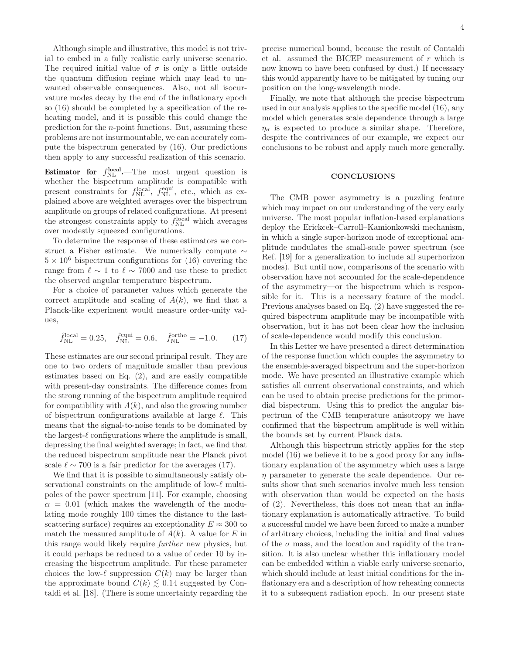Although simple and illustrative, this model is not trivial to embed in a fully realistic early universe scenario. The required initial value of  $\sigma$  is only a little outside the quantum diffusion regime which may lead to unwanted observable consequences. Also, not all isocurvature modes decay by the end of the inflationary epoch so (16) should be completed by a specification of the reheating model, and it is possible this could change the prediction for the n-point functions. But, assuming these problems are not insurmountable, we can accurately compute the bispectrum generated by (16). Our predictions then apply to any successful realization of this scenario.

**Estimator for**  $f_{\text{NL}}^{\text{local}}$ . The most urgent question is whether the bispectrum amplitude is compatible with present constraints for  $f_{\rm NL}^{\rm local}$ ,  $f_{\rm NL}^{\rm equi}$ , etc., which as explained above are weighted averages over the bispectrum amplitude on groups of related configurations. At present the strongest constraints apply to  $f_{\text{NL}}^{\text{local}}$  which averages over modestly squeezed configurations.

To determine the response of these estimators we construct a Fisher estimate. We numerically compute ∼  $5 \times 10^6$  bispectrum configurations for (16) covering the range from  $\ell \sim 1$  to  $\ell \sim 7000$  and use these to predict the observed angular temperature bispectrum.

For a choice of parameter values which generate the correct amplitude and scaling of  $A(k)$ , we find that a Planck-like experiment would measure order-unity values,

$$
\hat{f}_{\rm NL}^{\rm local} = 0.25, \quad \hat{f}_{\rm NL}^{\rm equi} = 0.6, \quad \hat{f}_{\rm NL}^{\rm ortho} = -1.0. \tag{17}
$$

These estimates are our second principal result. They are one to two orders of magnitude smaller than previous estimates based on Eq. (2), and are easily compatible with present-day constraints. The difference comes from the strong running of the bispectrum amplitude required for compatibility with  $A(k)$ , and also the growing number of bispectrum configurations available at large  $\ell$ . This means that the signal-to-noise tends to be dominated by the largest- $\ell$  configurations where the amplitude is small, depressing the final weighted average; in fact, we find that the reduced bispectrum amplitude near the Planck pivot scale  $\ell \sim 700$  is a fair predictor for the averages (17).

We find that it is possible to simultaneously satisfy observational constraints on the amplitude of low-ℓ multipoles of the power spectrum [11]. For example, choosing  $\alpha = 0.01$  (which makes the wavelength of the modulating mode roughly 100 times the distance to the lastscattering surface) requires an exceptionality  $E \approx 300$  to match the measured amplitude of  $A(k)$ . A value for E in this range would likely require further new physics, but it could perhaps be reduced to a value of order 10 by increasing the bispectrum amplitude. For these parameter choices the low- $\ell$  suppression  $C(k)$  may be larger than the approximate bound  $C(k) \lesssim 0.14$  suggested by Contaldi et al. [18]. (There is some uncertainty regarding the

precise numerical bound, because the result of Contaldi et al. assumed the BICEP measurement of r which is now known to have been confused by dust.) If necessary this would apparently have to be mitigated by tuning our position on the long-wavelength mode.

Finally, we note that although the precise bispectrum used in our analysis applies to the specific model (16), any model which generates scale dependence through a large  $\eta_{\sigma}$  is expected to produce a similar shape. Therefore, despite the contrivances of our example, we expect our conclusions to be robust and apply much more generally.

#### **CONCLUSIONS**

The CMB power asymmetry is a puzzling feature which may impact on our understanding of the very early universe. The most popular inflation-based explanations deploy the Erickcek–Carroll–Kamionkowski mechanism, in which a single super-horizon mode of exceptional amplitude modulates the small-scale power spectrum (see Ref. [19] for a generalization to include all superhorizon modes). But until now, comparisons of the scenario with observation have not accounted for the scale-dependence of the asymmetry—or the bispectrum which is responsible for it. This is a necessary feature of the model. Previous analyses based on Eq. (2) have suggested the required bispectrum amplitude may be incompatible with observation, but it has not been clear how the inclusion of scale-dependence would modify this conclusion.

In this Letter we have presented a direct determination of the response function which couples the asymmetry to the ensemble-averaged bispectrum and the super-horizon mode. We have presented an illustrative example which satisfies all current observational constraints, and which can be used to obtain precise predictions for the primordial bispectrum. Using this to predict the angular bispectrum of the CMB temperature anisotropy we have confirmed that the bispectrum amplitude is well within the bounds set by current Planck data.

Although this bispectrum strictly applies for the step model (16) we believe it to be a good proxy for any inflationary explanation of the asymmetry which uses a large  $\eta$  parameter to generate the scale dependence. Our results show that such scenarios involve much less tension with observation than would be expected on the basis of (2). Nevertheless, this does not mean that an inflationary explanation is automatically attractive. To build a successful model we have been forced to make a number of arbitrary choices, including the initial and final values of the  $\sigma$  mass, and the location and rapidity of the transition. It is also unclear whether this inflationary model can be embedded within a viable early universe scenario, which should include at least initial conditions for the inflationary era and a description of how reheating connects it to a subsequent radiation epoch. In our present state